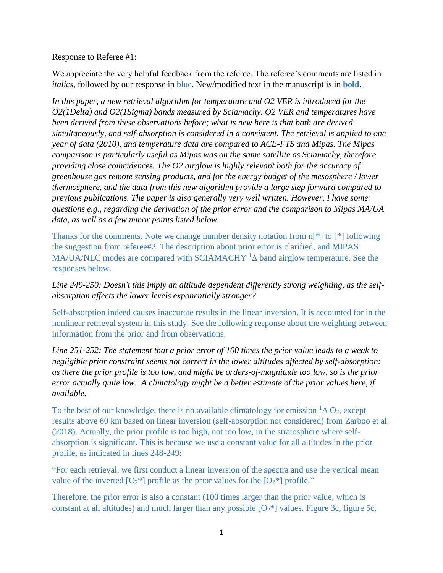Response to Referee #1:

We appreciate the very helpful feedback from the referee. The referee's comments are listed in *italics*, followed by our response in blue. New/modified text in the manuscript is in **bold**.

*In this paper, a new retrieval algorithm for temperature and O2 VER is introduced for the O2(1Delta) and O2(1Sigma) bands measured by Sciamachy. O2 VER and temperatures have been derived from these observations before; what is new here is that both are derived simultaneously, and self-absorption is considered in a consistent. The retrieval is applied to one year of data (2010), and temperature data are compared to ACE-FTS and Mipas. The Mipas comparison is particularly useful as Mipas was on the same satellite as Sciamachy, therefore providing close coincidences. The O2 airglow is highly relevant both for the accuracy of greenhouse gas remote sensing products, and for the energy budget of the mesosphere / lower thermosphere, and the data from this new algorithm provide a large step forward compared to previous publications. The paper is also generally very well written. However, I have some questions e.g., regarding the derivation of the prior error and the comparison to Mipas MA/UA data, as well as a few minor points listed below.*

Thanks for the comments. Note we change number density notation from n[\*] to [\*] following the suggestion from referee#2. The description about prior error is clarified, and MIPAS MA/UA/NLC modes are compared with SCIAMACHY  ${}^{1}\Delta$  band airglow temperature. See the responses below.

*Line 249-250: Doesn't this imply an altitude dependent differently strong weighting, as the selfabsorption affects the lower levels exponentially stronger?*

Self-absorption indeed causes inaccurate results in the linear inversion. It is accounted for in the nonlinear retrieval system in this study. See the following response about the weighting between information from the prior and from observations.

*Line 251-252: The statement that a prior error of 100 times the prior value leads to a weak to negligible prior constraint seems not correct in the lower altitudes affected by self-absorption: as there the prior profile is too low, and might be orders-of-magnitude too low, so is the prior error actually quite low. A climatology might be a better estimate of the prior values here, if available.*

To the best of our knowledge, there is no available climatology for emission  ${}^{1}\Delta$  O<sub>2</sub>, except results above 60 km based on linear inversion (self-absorption not considered) from Zarboo et al. (2018). Actually, the prior profile is too high, not too low, in the stratosphere where selfabsorption is significant. This is because we use a constant value for all altitudes in the prior profile, as indicated in lines 248-249:

"For each retrieval, we first conduct a linear inversion of the spectra and use the vertical mean value of the inverted  $[O_2^*]$  profile as the prior values for the  $[O_2^*]$  profile."

Therefore, the prior error is also a constant (100 times larger than the prior value, which is constant at all altitudes) and much larger than any possible  $[O_2^*]$  values. Figure 3c, figure 5c,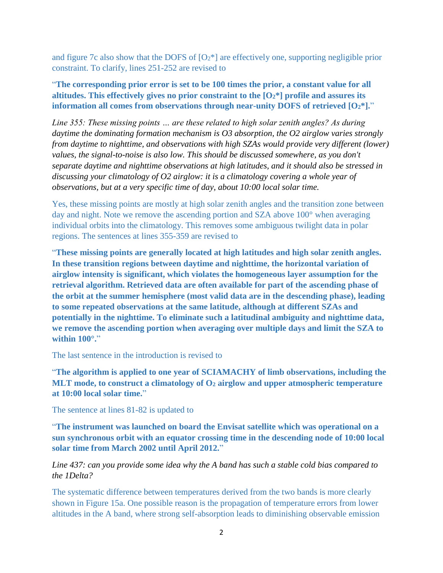and figure 7c also show that the DOFS of  $[O_2^*]$  are effectively one, supporting negligible prior constraint. To clarify, lines 251-252 are revised to

"**The corresponding prior error is set to be 100 times the prior, a constant value for all altitudes. This effectively gives no prior constraint to the [O2\*] profile and assures its information all comes from observations through near-unity DOFS of retrieved [O2\*].**"

*Line 355: These missing points … are these related to high solar zenith angles? As during daytime the dominating formation mechanism is O3 absorption, the O2 airglow varies strongly from daytime to nighttime, and observations with high SZAs would provide very different (lower) values, the signal-to-noise is also low. This should be discussed somewhere, as you don't separate daytime and nighttime observations at high latitudes, and it should also be stressed in discussing your climatology of O2 airglow: it is a climatology covering a whole year of observations, but at a very specific time of day, about 10:00 local solar time.*

Yes, these missing points are mostly at high solar zenith angles and the transition zone between day and night. Note we remove the ascending portion and SZA above 100° when averaging individual orbits into the climatology. This removes some ambiguous twilight data in polar regions. The sentences at lines 355-359 are revised to

"**These missing points are generally located at high latitudes and high solar zenith angles. In these transition regions between daytime and nighttime, the horizontal variation of airglow intensity is significant, which violates the homogeneous layer assumption for the retrieval algorithm. Retrieved data are often available for part of the ascending phase of the orbit at the summer hemisphere (most valid data are in the descending phase), leading to some repeated observations at the same latitude, although at different SZAs and potentially in the nighttime. To eliminate such a latitudinal ambiguity and nighttime data, we remove the ascending portion when averaging over multiple days and limit the SZA to within 100°.**"

The last sentence in the introduction is revised to

"**The algorithm is applied to one year of SCIAMACHY of limb observations, including the MLT mode, to construct a climatology of O<sup>2</sup> airglow and upper atmospheric temperature at 10:00 local solar time.**"

The sentence at lines 81-82 is updated to

"**The instrument was launched on board the Envisat satellite which was operational on a sun synchronous orbit with an equator crossing time in the descending node of 10:00 local solar time from March 2002 until April 2012.**"

## *Line 437: can you provide some idea why the A band has such a stable cold bias compared to the 1Delta?*

The systematic difference between temperatures derived from the two bands is more clearly shown in Figure 15a. One possible reason is the propagation of temperature errors from lower altitudes in the A band, where strong self-absorption leads to diminishing observable emission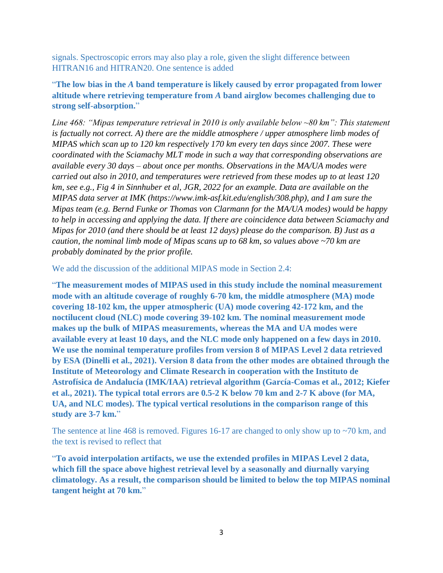signals. Spectroscopic errors may also play a role, given the slight difference between HITRAN16 and HITRAN20. One sentence is added

"**The low bias in the** *A* **band temperature is likely caused by error propagated from lower altitude where retrieving temperature from** *A* **band airglow becomes challenging due to strong self-absorption.**"

*Line 468: "Mipas temperature retrieval in 2010 is only available below ~80 km": This statement is factually not correct. A) there are the middle atmosphere / upper atmosphere limb modes of MIPAS which scan up to 120 km respectively 170 km every ten days since 2007. These were coordinated with the Sciamachy MLT mode in such a way that corresponding observations are available every 30 days – about once per months. Observations in the MA/UA modes were carried out also in 2010, and temperatures were retrieved from these modes up to at least 120 km, see e.g., Fig 4 in Sinnhuber et al, JGR, 2022 for an example. Data are available on the MIPAS data server at IMK (https://www.imk-asf.kit.edu/english/308.php), and I am sure the Mipas team (e.g. Bernd Funke or Thomas von Clarmann for the MA/UA modes) would be happy to help in accessing and applying the data. If there are coincidence data between Sciamachy and Mipas for 2010 (and there should be at least 12 days) please do the comparison. B) Just as a caution, the nominal limb mode of Mipas scans up to 68 km, so values above ~70 km are probably dominated by the prior profile.*

We add the discussion of the additional MIPAS mode in Section 2.4:

"**The measurement modes of MIPAS used in this study include the nominal measurement mode with an altitude coverage of roughly 6-70 km, the middle atmosphere (MA) mode covering 18-102 km, the upper atmospheric (UA) mode covering 42-172 km, and the noctilucent cloud (NLC) mode covering 39-102 km. The nominal measurement mode makes up the bulk of MIPAS measurements, whereas the MA and UA modes were available every at least 10 days, and the NLC mode only happened on a few days in 2010. We use the nominal temperature profiles from version 8 of MIPAS Level 2 data retrieved by ESA (Dinelli et al., 2021). Version 8 data from the other modes are obtained through the Institute of Meteorology and Climate Research in cooperation with the Instituto de Astrofísica de Andalucía (IMK/IAA) retrieval algorithm (García-Comas et al., 2012; Kiefer et al., 2021). The typical total errors are 0.5-2 K below 70 km and 2-7 K above (for MA, UA, and NLC modes). The typical vertical resolutions in the comparison range of this study are 3-7 km.**"

The sentence at line 468 is removed. Figures 16-17 are changed to only show up to  $\sim$ 70 km, and the text is revised to reflect that

"**To avoid interpolation artifacts, we use the extended profiles in MIPAS Level 2 data, which fill the space above highest retrieval level by a seasonally and diurnally varying climatology. As a result, the comparison should be limited to below the top MIPAS nominal tangent height at 70 km.**"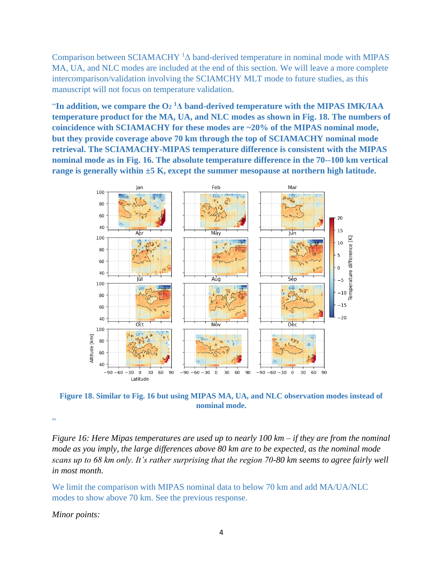Comparison between SCIAMACHY  ${}^{1}\Delta$  band-derived temperature in nominal mode with MIPAS MA, UA, and NLC modes are included at the end of this section. We will leave a more complete intercomparison/validation involving the SCIAMCHY MLT mode to future studies, as this manuscript will not focus on temperature validation.

"In addition, we compare the  $O_2$ <sup>1</sup> $\Delta$  band-derived temperature with the MIPAS IMK/IAA **temperature product for the MA, UA, and NLC modes as shown in Fig. 18. The numbers of coincidence with SCIAMACHY for these modes are ~20% of the MIPAS nominal mode, but they provide coverage above 70 km through the top of SCIAMACHY nominal mode retrieval. The SCIAMACHY-MIPAS temperature difference is consistent with the MIPAS nominal mode as in Fig. 16. The absolute temperature difference in the 70--100 km vertical range is generally within ±5 K, except the summer mesopause at northern high latitude.**



**Figure 18. Similar to Fig. 16 but using MIPAS MA, UA, and NLC observation modes instead of nominal mode.**

"

*Figure 16: Here Mipas temperatures are used up to nearly 100 km – if they are from the nominal mode as you imply, the large differences above 80 km are to be expected, as the nominal mode scans up to 68 km only. It's rather surprising that the region 70-80 km seems to agree fairly well in most month.*

We limit the comparison with MIPAS nominal data to below 70 km and add MA/UA/NLC modes to show above 70 km. See the previous response.

*Minor points:*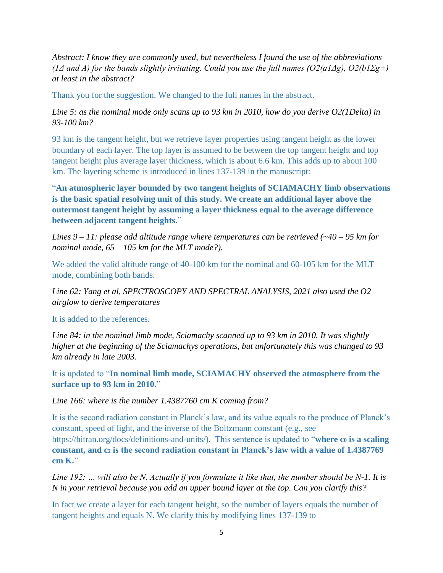*Abstract: I know they are commonly used, but nevertheless I found the use of the abbreviations (1Δ and A) for the bands slightly irritating. Could you use the full names (O2(a1Δg), O2(b1Σg+) at least in the abstract?*

Thank you for the suggestion. We changed to the full names in the abstract.

*Line 5: as the nominal mode only scans up to 93 km in 2010, how do you derive O2(1Delta) in 93-100 km?*

93 km is the tangent height, but we retrieve layer properties using tangent height as the lower boundary of each layer. The top layer is assumed to be between the top tangent height and top tangent height plus average layer thickness, which is about 6.6 km. This adds up to about 100 km. The layering scheme is introduced in lines 137-139 in the manuscript:

"**An atmospheric layer bounded by two tangent heights of SCIAMACHY limb observations is the basic spatial resolving unit of this study. We create an additional layer above the outermost tangent height by assuming a layer thickness equal to the average difference between adjacent tangent heights.**"

*Lines 9 – 11: please add altitude range where temperatures can be retrieved (~40 – 95 km for nominal mode, 65 – 105 km for the MLT mode?).*

We added the valid altitude range of 40-100 km for the nominal and 60-105 km for the MLT mode, combining both bands.

*Line 62: Yang et al, SPECTROSCOPY AND SPECTRAL ANALYSIS, 2021 also used the O2 airglow to derive temperatures*

It is added to the references.

*Line 84: in the nominal limb mode, Sciamachy scanned up to 93 km in 2010. It was slightly higher at the beginning of the Sciamachys operations, but unfortunately this was changed to 93 km already in late 2003.*

It is updated to "**In nominal limb mode, SCIAMACHY observed the atmosphere from the surface up to 93 km in 2010.**"

*Line 166: where is the number 1.4387760 cm K coming from?*

It is the second radiation constant in Planck's law, and its value equals to the produce of Planck's constant, speed of light, and the inverse of the Boltzmann constant (e.g., see https://hitran.org/docs/definitions-and-units/). This sentence is updated to "**where c<sup>0</sup> is a scaling constant, and c<sup>2</sup> is the second radiation constant in Planck's law with a value of 1.4387769 cm K.**"

*Line 192: … will also be N. Actually if you formulate it like that, the number should be N-1. It is N in your retrieval because you add an upper bound layer at the top. Can you clarify this?*

In fact we create a layer for each tangent height, so the number of layers equals the number of tangent heights and equals N. We clarify this by modifying lines 137-139 to